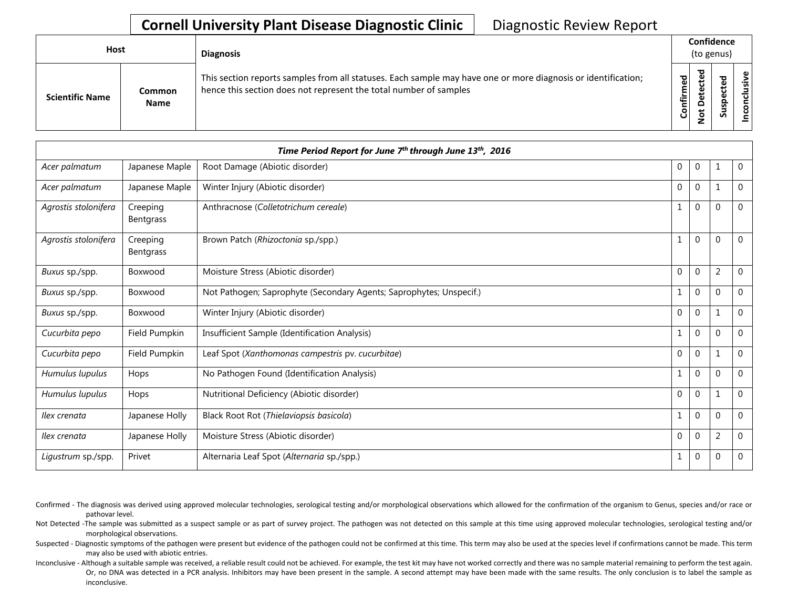## **Cornell University Plant Disease Diagnostic Clinic** | Diagnostic Review Report

| <b>Host</b>            |                       | <b>Diagnosis</b>                                                                                                                                                                   |           | Confidence<br>(to genus)                     |   |                 |
|------------------------|-----------------------|------------------------------------------------------------------------------------------------------------------------------------------------------------------------------------|-----------|----------------------------------------------|---|-----------------|
| <b>Scientific Name</b> | Common<br><b>Name</b> | This section reports samples from all statuses. Each sample may have one or more diagnosis or identification;<br>hence this section does not represent the total number of samples | Confirmed | ъ<br>൧<br>Φ<br>سه<br>٥<br>سه<br>$\circ$<br>⇁ | ທ | ω<br>usiv<br>᠊ᠣ |

|                      |                              | Time Period Report for June 7th through June 13th, 2016             |                |              |                |                |
|----------------------|------------------------------|---------------------------------------------------------------------|----------------|--------------|----------------|----------------|
| Acer palmatum        | Japanese Maple               | Root Damage (Abiotic disorder)                                      | $\mathbf{0}$   | 0            | $\mathbf{1}$   | $\overline{0}$ |
| Acer palmatum        | Japanese Maple               | Winter Injury (Abiotic disorder)                                    | $\mathbf{0}$   | 0            | $\mathbf{1}$   | $\overline{0}$ |
| Agrostis stolonifera | Creeping<br><b>Bentgrass</b> | Anthracnose (Colletotrichum cereale)                                | 1              | 0            | $\Omega$       | $\Omega$       |
| Agrostis stolonifera | Creeping<br>Bentgrass        | Brown Patch (Rhizoctonia sp./spp.)                                  | $\mathbf{1}$   | $\mathbf 0$  | $\Omega$       | $\Omega$       |
| Buxus sp./spp.       | Boxwood                      | Moisture Stress (Abiotic disorder)                                  | $\mathbf 0$    | $\mathbf 0$  | $\overline{2}$ | 0              |
| Buxus sp./spp.       | Boxwood                      | Not Pathogen; Saprophyte (Secondary Agents; Saprophytes; Unspecif.) | $\mathbf{1}$   | $\Omega$     | $\Omega$       | 0              |
| Buxus sp./spp.       | Boxwood                      | Winter Injury (Abiotic disorder)                                    | $\mathbf{0}$   | 0            | $\mathbf{1}$   | $\overline{0}$ |
| Cucurbita pepo       | Field Pumpkin                | Insufficient Sample (Identification Analysis)                       | 1              | 0            | $\overline{0}$ | 0              |
| Cucurbita pepo       | Field Pumpkin                | Leaf Spot (Xanthomonas campestris pv. cucurbitae)                   | $\Omega$       | $\mathbf{0}$ | $\mathbf{1}$   | $\Omega$       |
| Humulus lupulus      | Hops                         | No Pathogen Found (Identification Analysis)                         | 1              | 0            | $\Omega$       | $\Omega$       |
| Humulus lupulus      | Hops                         | Nutritional Deficiency (Abiotic disorder)                           | $\overline{0}$ | 0            | 1              | 0              |
| Ilex crenata         | Japanese Holly               | Black Root Rot (Thielaviopsis basicola)                             | 1              | 0            | $\Omega$       | $\Omega$       |
| Ilex crenata         | Japanese Holly               | Moisture Stress (Abiotic disorder)                                  | $\mathbf{0}$   | $\mathbf{0}$ | $\overline{2}$ | $\Omega$       |
| Ligustrum sp./spp.   | Privet                       | Alternaria Leaf Spot (Alternaria sp./spp.)                          | $\mathbf{1}$   | 0            | $\mathbf 0$    | $\mathbf 0$    |

- Confirmed The diagnosis was derived using approved molecular technologies, serological testing and/or morphological observations which allowed for the confirmation of the organism to Genus, species and/or race or pathovar level.
- Not Detected -The sample was submitted as a suspect sample or as part of survey project. The pathogen was not detected on this sample at this time using approved molecular technologies, serological testing and/or morphological observations.
- Suspected Diagnostic symptoms of the pathogen were present but evidence of the pathogen could not be confirmed at this time. This term may also be used at the species level if confirmations cannot be made. This term may also be used with abiotic entries.
- Inconclusive Although a suitable sample was received, a reliable result could not be achieved. For example, the test kit may have not worked correctly and there was no sample material remaining to perform the test again. Or, no DNA was detected in a PCR analysis. Inhibitors may have been present in the sample. A second attempt may have been made with the same results. The only conclusion is to label the sample as inconclusive.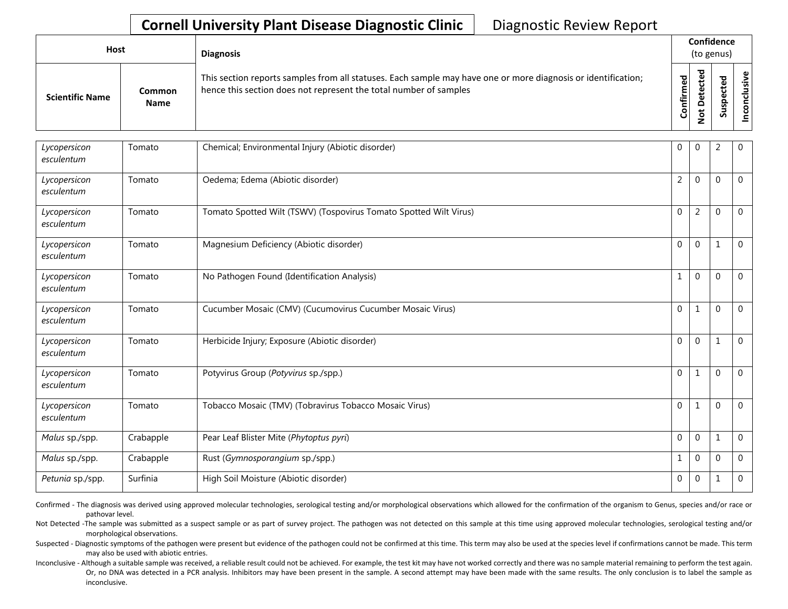## **Cornell University Plant Disease Diagnostic Clinic** | Diagnostic Review Report

| <b>Host</b>            |                       | <b>Diagnosis</b>                                                                                                                                                                   |                         | Confidence<br>(to genus)                        |             |                                              |  |
|------------------------|-----------------------|------------------------------------------------------------------------------------------------------------------------------------------------------------------------------------|-------------------------|-------------------------------------------------|-------------|----------------------------------------------|--|
| <b>Scientific Name</b> | Common<br><b>Name</b> | This section reports samples from all statuses. Each sample may have one or more diagnosis or identification;<br>hence this section does not represent the total number of samples | ъ,<br>ω<br>Ē<br>Confiri | ಕ<br>ق<br>ن<br>Φ<br>پ<br>۵<br>پ<br>$\circ$<br>- | ᇃ<br>w<br>S | $\mathbf{\omega}$<br>$\overline{\mathbf{3}}$ |  |

| Lycopersicon<br>esculentum | Tomato    | Chemical; Environmental Injury (Abiotic disorder)                 | $\mathbf 0$    | $\mathbf 0$    | $\overline{2}$ | 0              |
|----------------------------|-----------|-------------------------------------------------------------------|----------------|----------------|----------------|----------------|
| Lycopersicon<br>esculentum | Tomato    | Oedema; Edema (Abiotic disorder)                                  | $\overline{2}$ | $\Omega$       | $\mathbf 0$    | $\overline{0}$ |
| Lycopersicon<br>esculentum | Tomato    | Tomato Spotted Wilt (TSWV) (Tospovirus Tomato Spotted Wilt Virus) | $\mathbf 0$    | $\overline{2}$ | $\mathbf 0$    | 0              |
| Lycopersicon<br>esculentum | Tomato    | Magnesium Deficiency (Abiotic disorder)                           | $\mathbf 0$    | 0              | $\mathbf{1}$   | 0              |
| Lycopersicon<br>esculentum | Tomato    | No Pathogen Found (Identification Analysis)                       | $\mathbf{1}$   | $\Omega$       | $\overline{0}$ | 0              |
| Lycopersicon<br>esculentum | Tomato    | Cucumber Mosaic (CMV) (Cucumovirus Cucumber Mosaic Virus)         | $\mathbf 0$    | $\mathbf 1$    | $\Omega$       | $\Omega$       |
| Lycopersicon<br>esculentum | Tomato    | Herbicide Injury; Exposure (Abiotic disorder)                     | $\mathbf 0$    | $\Omega$       | $\mathbf{1}$   | $\Omega$       |
| Lycopersicon<br>esculentum | Tomato    | Potyvirus Group (Potyvirus sp./spp.)                              | $\mathbf 0$    | 1              | $\overline{0}$ | $\mathbf 0$    |
| Lycopersicon<br>esculentum | Tomato    | Tobacco Mosaic (TMV) (Tobravirus Tobacco Mosaic Virus)            | $\mathbf 0$    | 1              | $\mathbf 0$    | $\mathbf 0$    |
| Malus sp./spp.             | Crabapple | Pear Leaf Blister Mite (Phytoptus pyri)                           | $\mathbf 0$    | $\mathbf 0$    | $\mathbf 1$    | 0              |
| Malus sp./spp.             | Crabapple | Rust (Gymnosporangium sp./spp.)                                   | $\mathbf{1}$   | $\mathbf 0$    | $\overline{0}$ | 0              |
| Petunia sp./spp.           | Surfinia  | High Soil Moisture (Abiotic disorder)                             | $\mathbf{0}$   | $\mathbf 0$    | $\mathbf{1}$   | 0              |

Confirmed - The diagnosis was derived using approved molecular technologies, serological testing and/or morphological observations which allowed for the confirmation of the organism to Genus, species and/or race or pathovar level.

Not Detected -The sample was submitted as a suspect sample or as part of survey project. The pathogen was not detected on this sample at this time using approved molecular technologies, serological testing and/or morphological observations.

Suspected - Diagnostic symptoms of the pathogen were present but evidence of the pathogen could not be confirmed at this time. This term may also be used at the species level if confirmations cannot be made. This term may also be used with abiotic entries.

Inconclusive - Although a suitable sample was received, a reliable result could not be achieved. For example, the test kit may have not worked correctly and there was no sample material remaining to perform the test again. Or, no DNA was detected in a PCR analysis. Inhibitors may have been present in the sample. A second attempt may have been made with the same results. The only conclusion is to label the sample as inconclusive.